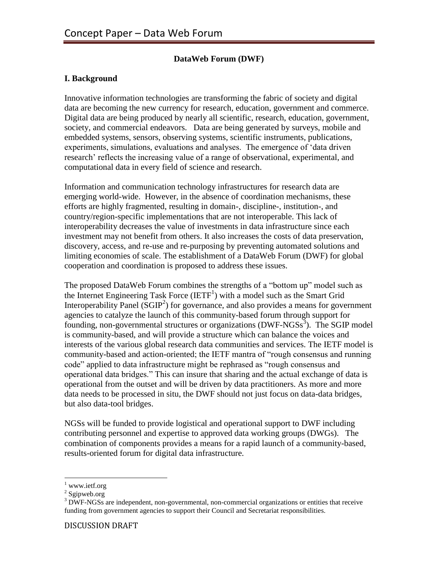#### **DataWeb Forum (DWF)**

#### **I. Background**

Innovative information technologies are transforming the fabric of society and digital data are becoming the new currency for research, education, government and commerce. Digital data are being produced by nearly all scientific, research, education, government, society, and commercial endeavors. Data are being generated by surveys, mobile and embedded systems, sensors, observing systems, scientific instruments, publications, experiments, simulations, evaluations and analyses. The emergence of 'data driven research' reflects the increasing value of a range of observational, experimental, and computational data in every field of science and research.

Information and communication technology infrastructures for research data are emerging world-wide. However, in the absence of coordination mechanisms, these efforts are highly fragmented, resulting in domain-, discipline-, institution-, and country/region-specific implementations that are not interoperable. This lack of interoperability decreases the value of investments in data infrastructure since each investment may not benefit from others. It also increases the costs of data preservation, discovery, access, and re-use and re-purposing by preventing automated solutions and limiting economies of scale. The establishment of a DataWeb Forum (DWF) for global cooperation and coordination is proposed to address these issues.

The proposed DataWeb Forum combines the strengths of a "bottom up" model such as the Internet Engineering Task Force (IETF<sup>1</sup>) with a model such as the Smart Grid Interoperability Panel  $(SGIP<sup>2</sup>)$  for governance, and also provides a means for government agencies to catalyze the launch of this community-based forum through support for founding, non-governmental structures or organizations (DWF-NGSs<sup>3</sup>). The SGIP model is community-based, and will provide a structure which can balance the voices and interests of the various global research data communities and services. The IETF model is community-based and action-oriented; the IETF mantra of "rough consensus and running code" applied to data infrastructure might be rephrased as "rough consensus and operational data bridges." This can insure that sharing and the actual exchange of data is operational from the outset and will be driven by data practitioners. As more and more data needs to be processed in situ, the DWF should not just focus on data-data bridges, but also data-tool bridges.

NGSs will be funded to provide logistical and operational support to DWF including contributing personnel and expertise to approved data working groups (DWGs). The combination of components provides a means for a rapid launch of a community-based, results-oriented forum for digital data infrastructure.

 $\overline{a}$ 

 $1$  www.ietf.org

<sup>&</sup>lt;sup>2</sup> Sgipweb.org

<sup>&</sup>lt;sup>3</sup> DWF-NGSs are independent, non-governmental, non-commercial organizations or entities that receive funding from government agencies to support their Council and Secretariat responsibilities.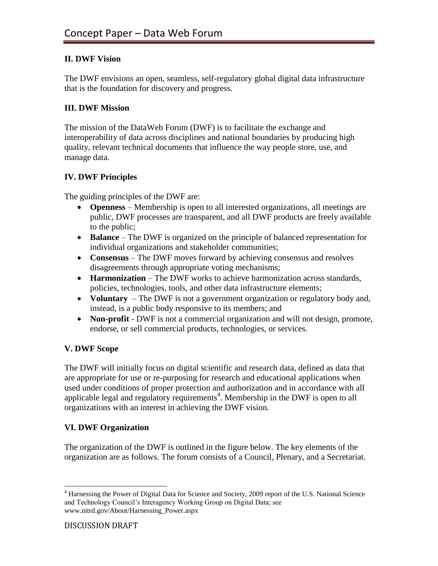# **II. DWF Vision**

The DWF envisions an open, seamless, self-regulatory global digital data infrastructure that is the foundation for discovery and progress.

### **III. DWF Mission**

The mission of the DataWeb Forum (DWF) is to facilitate the exchange and interoperability of data across disciplines and national boundaries by producing high quality, relevant technical documents that influence the way people store, use, and manage data.

# **IV. DWF Principles**

The guiding principles of the DWF are:

- **Openness** Membership is open to all interested organizations, all meetings are public, DWF processes are transparent, and all DWF products are freely available to the public;
- **Balance** The DWF is organized on the principle of balanced representation for individual organizations and stakeholder communities;
- **Consensus** The DWF moves forward by achieving consensus and resolves disagreements through appropriate voting mechanisms;
- **Harmonization** The DWF works to achieve harmonization across standards, policies, technologies, tools, and other data infrastructure elements;
- **Voluntary**  The DWF is not a government organization or regulatory body and, instead, is a public body responsive to its members; and
- **Non-profit**  DWF is not a commercial organization and will not design, promote, endorse, or sell commercial products, technologies, or services.

#### **V. DWF Scope**

The DWF will initially focus on digital scientific and research data, defined as data that are appropriate for use or re-purposing for research and educational applications when used under conditions of proper protection and authorization and in accordance with all applicable legal and regulatory requirements<sup>4</sup>. Membership in the DWF is open to all organizations with an interest in achieving the DWF vision.

#### **VI. DWF Organization**

The organization of the DWF is outlined in the figure below. The key elements of the organization are as follows. The forum consists of a Council, Plenary, and a Secretariat.

 $\overline{a}$ <sup>4</sup> Harnessing the Power of Digital Data for Science and Society, 2009 report of the U.S. National Science and Technology Council's Interagency Working Group on Digital Data; see www.nitrd.gov/About/Harnessing\_Power.aspx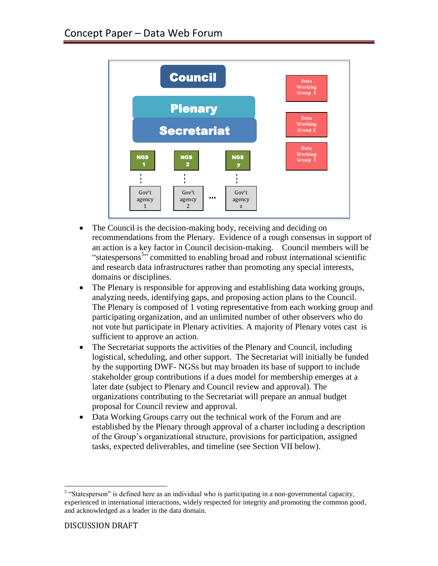

- The Council is the decision-making body, receiving and deciding on recommendations from the Plenary. Evidence of a rough consensus in support of an action is a key factor in Council decision-making. Council members will be "statespersons<sup>5</sup>" committed to enabling broad and robust international scientific and research data infrastructures rather than promoting any special interests, domains or disciplines.
- The Plenary is responsible for approving and establishing data working groups, analyzing needs, identifying gaps, and proposing action plans to the Council. The Plenary is composed of 1 voting representative from each working group and participating organization, and an unlimited number of other observers who do not vote but participate in Plenary activities. A majority of Plenary votes cast is sufficient to approve an action.
- The Secretariat supports the activities of the Plenary and Council, including logistical, scheduling, and other support. The Secretariat will initially be funded by the supporting DWF- NGSs but may broaden its base of support to include stakeholder group contributions if a dues model for membership emerges at a later date (subject to Plenary and Council review and approval). The organizations contributing to the Secretariat will prepare an annual budget proposal for Council review and approval.
- Data Working Groups carry out the technical work of the Forum and are established by the Plenary through approval of a charter including a description of the Group's organizational structure, provisions for participation, assigned tasks, expected deliverables, and timeline (see Section VII below).

 $\overline{a}$ 

<sup>&</sup>lt;sup>5</sup> "Statesperson" is defined here as an individual who is participating in a non-governmental capacity, experienced in international interactions, widely respected for integrity and promoting the common good, and acknowledged as a leader in the data domain.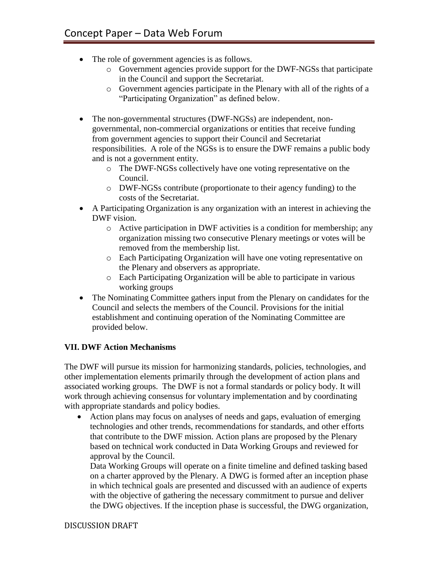- The role of government agencies is as follows.
	- o Government agencies provide support for the DWF-NGSs that participate in the Council and support the Secretariat.
	- o Government agencies participate in the Plenary with all of the rights of a "Participating Organization" as defined below.
- The non-governmental structures (DWF-NGSs) are independent, nongovernmental, non-commercial organizations or entities that receive funding from government agencies to support their Council and Secretariat responsibilities. A role of the NGSs is to ensure the DWF remains a public body and is not a government entity.
	- o The DWF-NGSs collectively have one voting representative on the Council.
	- o DWF-NGSs contribute (proportionate to their agency funding) to the costs of the Secretariat.
- A Participating Organization is any organization with an interest in achieving the DWF vision.
	- o Active participation in DWF activities is a condition for membership; any organization missing two consecutive Plenary meetings or votes will be removed from the membership list.
	- o Each Participating Organization will have one voting representative on the Plenary and observers as appropriate.
	- o Each Participating Organization will be able to participate in various working groups
- The Nominating Committee gathers input from the Plenary on candidates for the Council and selects the members of the Council. Provisions for the initial establishment and continuing operation of the Nominating Committee are provided below.

# **VII. DWF Action Mechanisms**

The DWF will pursue its mission for harmonizing standards, policies, technologies, and other implementation elements primarily through the development of action plans and associated working groups. The DWF is not a formal standards or policy body. It will work through achieving consensus for voluntary implementation and by coordinating with appropriate standards and policy bodies.

 Action plans may focus on analyses of needs and gaps, evaluation of emerging technologies and other trends, recommendations for standards, and other efforts that contribute to the DWF mission. Action plans are proposed by the Plenary based on technical work conducted in Data Working Groups and reviewed for approval by the Council.

Data Working Groups will operate on a finite timeline and defined tasking based on a charter approved by the Plenary. A DWG is formed after an inception phase in which technical goals are presented and discussed with an audience of experts with the objective of gathering the necessary commitment to pursue and deliver the DWG objectives. If the inception phase is successful, the DWG organization,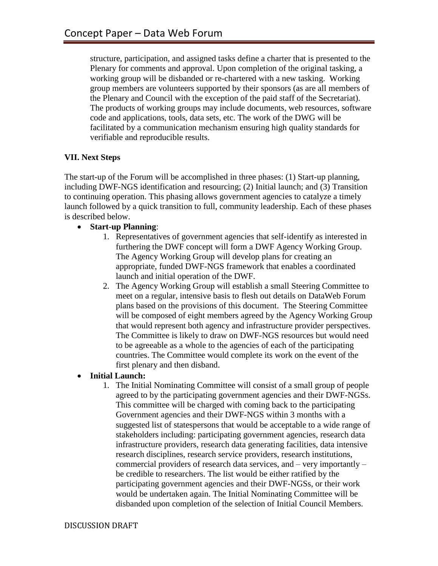structure, participation, and assigned tasks define a charter that is presented to the Plenary for comments and approval. Upon completion of the original tasking, a working group will be disbanded or re-chartered with a new tasking. Working group members are volunteers supported by their sponsors (as are all members of the Plenary and Council with the exception of the paid staff of the Secretariat). The products of working groups may include documents, web resources, software code and applications, tools, data sets, etc. The work of the DWG will be facilitated by a communication mechanism ensuring high quality standards for verifiable and reproducible results.

#### **VII. Next Steps**

The start-up of the Forum will be accomplished in three phases: (1) Start-up planning, including DWF-NGS identification and resourcing; (2) Initial launch; and (3) Transition to continuing operation. This phasing allows government agencies to catalyze a timely launch followed by a quick transition to full, community leadership. Each of these phases is described below.

- **Start-up Planning**:
	- 1. Representatives of government agencies that self-identify as interested in furthering the DWF concept will form a DWF Agency Working Group. The Agency Working Group will develop plans for creating an appropriate, funded DWF-NGS framework that enables a coordinated launch and initial operation of the DWF.
	- 2. The Agency Working Group will establish a small Steering Committee to meet on a regular, intensive basis to flesh out details on DataWeb Forum plans based on the provisions of this document. The Steering Committee will be composed of eight members agreed by the Agency Working Group that would represent both agency and infrastructure provider perspectives. The Committee is likely to draw on DWF-NGS resources but would need to be agreeable as a whole to the agencies of each of the participating countries. The Committee would complete its work on the event of the first plenary and then disband.

#### **Initial Launch:**

1. The Initial Nominating Committee will consist of a small group of people agreed to by the participating government agencies and their DWF-NGSs. This committee will be charged with coming back to the participating Government agencies and their DWF-NGS within 3 months with a suggested list of statespersons that would be acceptable to a wide range of stakeholders including: participating government agencies, research data infrastructure providers, research data generating facilities, data intensive research disciplines, research service providers, research institutions, commercial providers of research data services, and – very importantly – be credible to researchers. The list would be either ratified by the participating government agencies and their DWF-NGSs, or their work would be undertaken again. The Initial Nominating Committee will be disbanded upon completion of the selection of Initial Council Members.